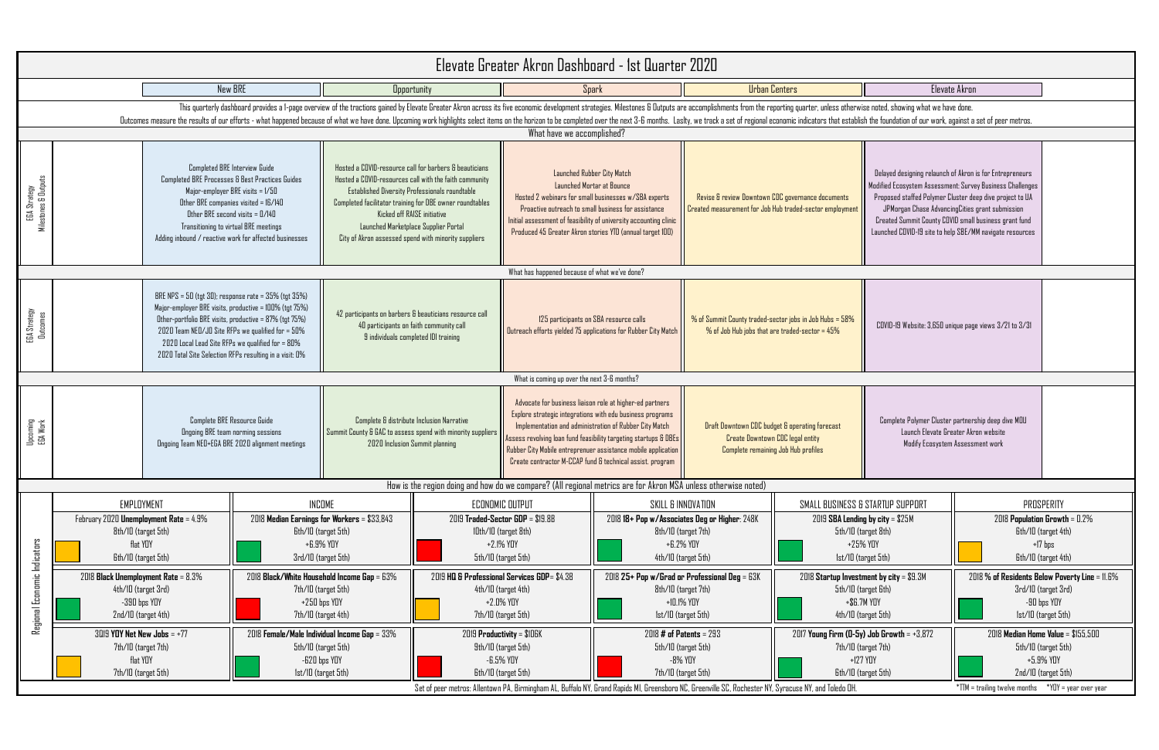| s                                                                                                                                                    |                                                                                                                                                                                                                                                                                                                                                           | Elevate Akron                                                                                               |                                                                                               |  |  |  |  |  |
|------------------------------------------------------------------------------------------------------------------------------------------------------|-----------------------------------------------------------------------------------------------------------------------------------------------------------------------------------------------------------------------------------------------------------------------------------------------------------------------------------------------------------|-------------------------------------------------------------------------------------------------------------|-----------------------------------------------------------------------------------------------|--|--|--|--|--|
| quarter, unless otherwise noted, showing what we have done.<br>c indicators that establish the foundation of our work, against a set of peer metros. |                                                                                                                                                                                                                                                                                                                                                           |                                                                                                             |                                                                                               |  |  |  |  |  |
| ernance documents/<br>ded-sector employment                                                                                                          | Delayed designing relaunch of Akron is for Entrepreneurs<br>Modified Ecosystem Assessment: Survey Business Challenges<br>Proposed staffed Polymer Cluster deep dive project to UA<br>JPMorgan Chase AdvancingCities grant submission<br>Created Summit County COVID small business grant fund<br>Launched COVID-19 site to help SBE/MM navigate resources |                                                                                                             |                                                                                               |  |  |  |  |  |
|                                                                                                                                                      |                                                                                                                                                                                                                                                                                                                                                           |                                                                                                             |                                                                                               |  |  |  |  |  |
| $\mathsf{b}$ s in Job Hubs = 58%<br>ed-sector = 45%                                                                                                  | COVID-19 Website: 3,650 unique page views 3/21 to 3/31                                                                                                                                                                                                                                                                                                    |                                                                                                             |                                                                                               |  |  |  |  |  |
|                                                                                                                                                      |                                                                                                                                                                                                                                                                                                                                                           |                                                                                                             |                                                                                               |  |  |  |  |  |
| perating forecast<br>gal entity<br>lub profiles                                                                                                      | Complete Polymer Cluster partnership deep dive MOU<br>Launch Elevate Greater Akron website                                                                                                                                                                                                                                                                | Modify Ecosystem Assessment work                                                                            |                                                                                               |  |  |  |  |  |
|                                                                                                                                                      |                                                                                                                                                                                                                                                                                                                                                           |                                                                                                             |                                                                                               |  |  |  |  |  |
|                                                                                                                                                      | SMALL BUSINESS & STARTUP SUPPORT<br>2019 SBA Lending by city = \$25M<br>5th/10 (target 8th)<br>+25% YOY<br>Ist/ID (target 5th)                                                                                                                                                                                                                            | PROSPERITY<br>2018 Population Growth = 0.2%<br>Gth/ID (target 4th)<br>$+17$ bps<br>Gth/ID (target 4th)      |                                                                                               |  |  |  |  |  |
|                                                                                                                                                      | 2018 Startup Investment by city = \$9.3M<br>5th/10 (target 6th)<br>+\$6.7M YOY<br>4th/10 (target 5th)                                                                                                                                                                                                                                                     | 2018 % of Residents Below Poverty Line = 11.6%<br>3rd/10 (target 3rd)<br>-90 bps YOY<br>Ist/ID (target 5th) |                                                                                               |  |  |  |  |  |
|                                                                                                                                                      | 2017 Young Firm (0-5y) Job Growth = +3,872<br>7th/10 (target 7th)<br>$+127$ YOY<br>Gth/IO (target 5th)                                                                                                                                                                                                                                                    |                                                                                                             | 2018 Median Home Value = \$155,500<br>5th/10 (target 5th)<br>+5.9% YOY<br>2nd/10 (target 5th) |  |  |  |  |  |
| use NY, and Toledo OH.                                                                                                                               |                                                                                                                                                                                                                                                                                                                                                           | $*TIM = \text{training twelve months}$                                                                      | $*YDY = year over year$                                                                       |  |  |  |  |  |

|                                      |                                                                                         |                                                                                                                                                                                                                                                                                                                                                    |                                                                                                                                                                                                                                |                                                                                                                                                                                                                                                                                                                                                                      |                                                                                                                                                                                                                                                                                                             |                                                                                                                                                                                                                                                                                                          | Elevate Greater Akron Dashboard - 1st Quarter 2020                                                                                                                                                                                                                    |                                                                                                                                                                                                   |                                                        |                                                                                                                                                                                                                                                                                                                                                           |                                                                                                              |  |
|--------------------------------------|-----------------------------------------------------------------------------------------|----------------------------------------------------------------------------------------------------------------------------------------------------------------------------------------------------------------------------------------------------------------------------------------------------------------------------------------------------|--------------------------------------------------------------------------------------------------------------------------------------------------------------------------------------------------------------------------------|----------------------------------------------------------------------------------------------------------------------------------------------------------------------------------------------------------------------------------------------------------------------------------------------------------------------------------------------------------------------|-------------------------------------------------------------------------------------------------------------------------------------------------------------------------------------------------------------------------------------------------------------------------------------------------------------|----------------------------------------------------------------------------------------------------------------------------------------------------------------------------------------------------------------------------------------------------------------------------------------------------------|-----------------------------------------------------------------------------------------------------------------------------------------------------------------------------------------------------------------------------------------------------------------------|---------------------------------------------------------------------------------------------------------------------------------------------------------------------------------------------------|--------------------------------------------------------|-----------------------------------------------------------------------------------------------------------------------------------------------------------------------------------------------------------------------------------------------------------------------------------------------------------------------------------------------------------|--------------------------------------------------------------------------------------------------------------|--|
|                                      |                                                                                         |                                                                                                                                                                                                                                                                                                                                                    | <b>New BRE</b>                                                                                                                                                                                                                 |                                                                                                                                                                                                                                                                                                                                                                      | Opportunity                                                                                                                                                                                                                                                                                                 |                                                                                                                                                                                                                                                                                                          | <b>Spark</b>                                                                                                                                                                                                                                                          | <b>Urban Centers</b>                                                                                                                                                                              |                                                        |                                                                                                                                                                                                                                                                                                                                                           | Elevate Akron                                                                                                |  |
|                                      |                                                                                         |                                                                                                                                                                                                                                                                                                                                                    | This quarterly dashboard provides a 1-page overview of the tractions gained by Elevate Greater Akron across its five economic development strategies. Milestones & Dutputs are accomplishments from the reporting quarter, unl |                                                                                                                                                                                                                                                                                                                                                                      |                                                                                                                                                                                                                                                                                                             |                                                                                                                                                                                                                                                                                                          |                                                                                                                                                                                                                                                                       |                                                                                                                                                                                                   |                                                        |                                                                                                                                                                                                                                                                                                                                                           |                                                                                                              |  |
|                                      |                                                                                         |                                                                                                                                                                                                                                                                                                                                                    | Dutcomes measure the results of our efforts - what happened because of what we have done. Upcoming work highlights select items on the horizon to be completed over the next 3-6 months. Laslty, we track a set of regional ec |                                                                                                                                                                                                                                                                                                                                                                      |                                                                                                                                                                                                                                                                                                             | What have we accomplished?                                                                                                                                                                                                                                                                               |                                                                                                                                                                                                                                                                       |                                                                                                                                                                                                   |                                                        |                                                                                                                                                                                                                                                                                                                                                           |                                                                                                              |  |
|                                      |                                                                                         |                                                                                                                                                                                                                                                                                                                                                    |                                                                                                                                                                                                                                |                                                                                                                                                                                                                                                                                                                                                                      |                                                                                                                                                                                                                                                                                                             |                                                                                                                                                                                                                                                                                                          |                                                                                                                                                                                                                                                                       |                                                                                                                                                                                                   |                                                        |                                                                                                                                                                                                                                                                                                                                                           |                                                                                                              |  |
| EGA Strategy<br>Milestones & Outputs |                                                                                         | Completed BRE Interview Guide<br>Completed BRE Processes & Best Practices Guides<br>Major-employer BRE visits $= 1/50$<br>Other BRE companies visited = $16/140$<br>Other BRE second visits $= 0/140$<br>Transitioning to virtual BRE meetings<br>Adding inbound / reactive work for affected businesses                                           |                                                                                                                                                                                                                                | Hosted a COVID-resource call for barbers & beauticians<br>Hosted a COVID-resources call with the faith community<br><b>Established Diversity Professionals roundtable</b><br>Completed facilitator training for DBE owner roundtables<br>Kicked off RAISE initiative<br>Launched Marketplace Supplier Portal<br>City of Akron assessed spend with minority suppliers |                                                                                                                                                                                                                                                                                                             | Launched Rubber City Match<br>Launched Mortar at Bounce<br>Hosted 2 webinars for small businesses w/SBA experts<br>Proactive outreach to small business for assistance<br>Initial assessment of feasibility of university accounting clinic<br>Produced 45 Greater Akron stories YTD (annual target 100) |                                                                                                                                                                                                                                                                       | Revise & review Downtown CDC governance documents<br>Created measurement for Job Hub traded-sector employment                                                                                     |                                                        | Delayed designing relaunch of Akron is for Entrepreneurs<br>Modified Ecosystem Assessment: Survey Business Challenges<br>Proposed staffed Polymer Cluster deep dive project to UA<br>JPMorgan Chase AdvancingCities grant submission<br>Created Summit County COVID small business grant fund<br>Launched COVID-19 site to help SBE/MM navigate resources |                                                                                                              |  |
|                                      |                                                                                         |                                                                                                                                                                                                                                                                                                                                                    |                                                                                                                                                                                                                                |                                                                                                                                                                                                                                                                                                                                                                      |                                                                                                                                                                                                                                                                                                             | What has happened because of what we've done?                                                                                                                                                                                                                                                            |                                                                                                                                                                                                                                                                       |                                                                                                                                                                                                   |                                                        |                                                                                                                                                                                                                                                                                                                                                           |                                                                                                              |  |
| EGA Strategy<br>Outcomes             |                                                                                         | BRE NPS = 50 (tgt 30); response rate = $35\%$ (tgt $35\%)$<br>Major-employer BRE visits, productive = 100% (tgt 75%)<br>Other-portfolio BRE visits, productive = 87% (tgt 75%)<br>2020 Team NEO/JO Site RFPs we qualified for = 50%<br>2020 Local Lead Site RFPs we qualified for = 80%<br>2020 Total Site Selection RFPs resulting in a visit: 0% |                                                                                                                                                                                                                                | 42 participants on barbers & beauticians resource call<br>125 participants on SBA resource calls<br>40 participants on faith community call<br>9 individuals completed IDI training                                                                                                                                                                                  |                                                                                                                                                                                                                                                                                                             | Dutreach efforts yielded 75 applications for Rubber City Match                                                                                                                                                                                                                                           | % of Summit County traded-sector jobs in Job Hubs = 58%<br>$%$ of Job Hub jobs that are traded-sector = $45\%$                                                                                                                                                        |                                                                                                                                                                                                   | COVID-19 Website: 3,650 unique page views 3/21 to 3/31 |                                                                                                                                                                                                                                                                                                                                                           |                                                                                                              |  |
|                                      |                                                                                         |                                                                                                                                                                                                                                                                                                                                                    |                                                                                                                                                                                                                                |                                                                                                                                                                                                                                                                                                                                                                      |                                                                                                                                                                                                                                                                                                             | What is coming up over the next 3-6 months?                                                                                                                                                                                                                                                              |                                                                                                                                                                                                                                                                       |                                                                                                                                                                                                   |                                                        |                                                                                                                                                                                                                                                                                                                                                           |                                                                                                              |  |
| Upcoming<br>EGA Work                 |                                                                                         |                                                                                                                                                                                                                                                                                                                                                    | Complete BRE Resource Guide<br>Complete & distribute Inclusion Narrative<br><b>Ongoing BRE team norming sessions</b><br>Ongoing Team NEO+EGA BRE 2020 alignment meetings<br>2020 Inclusion Summit planning                     |                                                                                                                                                                                                                                                                                                                                                                      | Advocate for business liaison role at higher-ed partners<br>Explore strategic integrations with edu business programs<br>Implementation and administration of Rubber City Match<br>Summit County & GAC to assess spend with minority suppliers<br>Create contractor M-CCAP fund & technical assist. program |                                                                                                                                                                                                                                                                                                          | Draft Downtown CDC budget & operating forecast<br>Assess revolving loan fund feasibility targeting startups & DBEs<br><b>Create Downtown CDC legal entity</b><br>Rubber City Mobile entreprenuer assistance mobile application<br>Complete remaining Job Hub profiles |                                                                                                                                                                                                   |                                                        | Complete Polymer Cluster partnership deep dive MOU<br>Launch Elevate Greater Akron website<br>Modify Ecosystem Assessment work                                                                                                                                                                                                                            |                                                                                                              |  |
|                                      |                                                                                         |                                                                                                                                                                                                                                                                                                                                                    |                                                                                                                                                                                                                                |                                                                                                                                                                                                                                                                                                                                                                      | How is the region doing and how do we compare? (All regional metrics are for Akron MSA unless otherwise noted)                                                                                                                                                                                              |                                                                                                                                                                                                                                                                                                          |                                                                                                                                                                                                                                                                       |                                                                                                                                                                                                   |                                                        |                                                                                                                                                                                                                                                                                                                                                           |                                                                                                              |  |
|                                      |                                                                                         | EMPLOYMENT<br>INCOME<br>2018 Median Earnings for Workers = \$33,843<br>February 2020 Unemployment Rate = 4.9%<br>8th/10 (target 5th)<br>Gth/10 (target 5th)<br>flat YOY<br>+6.9% YOY<br>3rd/10 (target 5th)<br><b>Gth/10</b> (target 5th)                                                                                                          |                                                                                                                                                                                                                                | ECONOMIC OUTPUT<br>$2019$ Traded-Sector GDP = $$19.8B$<br>10th/10 (target 8th)<br>+2.1% YOY<br>5th/10 (target 5th)                                                                                                                                                                                                                                                   |                                                                                                                                                                                                                                                                                                             | SKILL & INNOVATION<br>2018 18+ Pop w/Associates Deg or Higher: 248K<br>8th/10 (target 7th)<br>+6.2% YOY<br>4th/10 (target 5th)                                                                                                                                                                           |                                                                                                                                                                                                                                                                       | SMALL BUSINESS & STARTUP SUPPORT<br>2019 SBA Lending by city = \$25M<br>5th/10 (target 8th)<br>+25% YOY<br>Ist/ID (target 5th)                                                                    |                                                        | PROSPERITY<br>2018 Population Growth = 0.2%<br>Gth/ID (target 4th)<br>$+17$ bps<br><b>Gth/ID</b> (target 4th)                                                                                                                                                                                                                                             |                                                                                                              |  |
| Regional Economic Indicators         |                                                                                         | 2018 Black Unemployment Rate = $8.3\%$<br>4th/10 (target 3rd)<br>$-390$ bps $YDY$<br>2nd/10 (target 4th)                                                                                                                                                                                                                                           |                                                                                                                                                                                                                                | 2018 Black/White Household Income Gap = 63%<br>2019 HQ & Professional Services GDP= \$4.38<br>7th/10 (target 5th)<br>4th/10 (target 4th)<br>$+250$ bps $YDY$<br>+2.0% YOY<br>7th/10 (target 4th)<br>7th/10 (target 5th)                                                                                                                                              |                                                                                                                                                                                                                                                                                                             |                                                                                                                                                                                                                                                                                                          |                                                                                                                                                                                                                                                                       | $2018$ 25+ Pop w/Grad or Professional Deg = 63K<br>8th/10 (target 7th)<br>+10.1% YOY<br>Ist/ID (target 5th)                                                                                       |                                                        | 2018 Startup Investment by city = \$9.3M<br>5th/10 (target 6th)<br>$+$ \$6.7M YOY<br>4th/10 (target 5th)                                                                                                                                                                                                                                                  | 2018 % of Residents Below Poverty Line = 11<br>3rd/10 (target 3rd)<br>$-90$ bps $YDY$<br>Ist/10 (target 5th) |  |
|                                      | $3019$ YOY Net New Jobs = +77<br>7th/10 (target 7th)<br>flat YOY<br>7th/10 (target 5th) |                                                                                                                                                                                                                                                                                                                                                    | 2018 Female/Male Individual Income Gap = 33%<br>5th/10 (target 5th)<br>-620 bps YOY<br>Ist/ID (target 5th)                                                                                                                     |                                                                                                                                                                                                                                                                                                                                                                      | Set of peer metros: Allentown PA, Birmingham AL, Buffalo NY, Grand Rapids MI, Greensboro NC, Greenville SC, Rochester NY, Syracuse NY, and Toledo OH.                                                                                                                                                       | 2019 Productivity = \$106K<br>9th/10 (target 5th)<br>-6.5% YOY<br>Gth/ID (target 5th)                                                                                                                                                                                                                    |                                                                                                                                                                                                                                                                       | $2018 \#$ of Patents = $293$<br>2017 Young Firm (0-5y) Job Growth = $+3,872$<br>5th/10 (target 5th)<br>7th/10 (target 7th)<br>$+127$ YOY<br>-8% YOY<br>7th/10 (target 5th)<br>Gth/10 (target 5th) |                                                        |                                                                                                                                                                                                                                                                                                                                                           | 2018 Median Home Value = \$155,500<br>5th/10 (target 5th)<br>+5.9% YOY<br>2nd/10 (target 5th)                |  |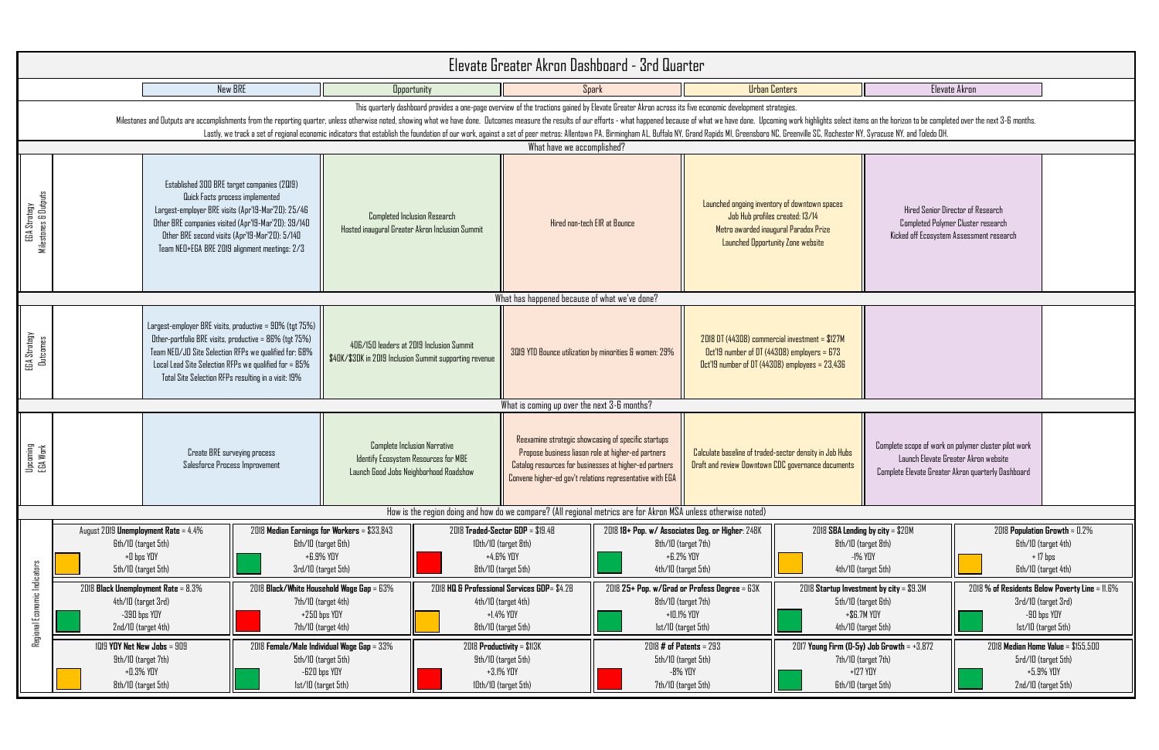| S.                                                                                                                                                  |                                                                                                                     | Elevate Akron                                                                                                                                      |                                                                                               |  |  |  |  |  |  |
|-----------------------------------------------------------------------------------------------------------------------------------------------------|---------------------------------------------------------------------------------------------------------------------|----------------------------------------------------------------------------------------------------------------------------------------------------|-----------------------------------------------------------------------------------------------|--|--|--|--|--|--|
| s.<br>ork highlights select items on the horizon to be completed over the next 3-6 months.<br>enville SC, Rochester NY, Syracuse NY, and Toledo OH. |                                                                                                                     |                                                                                                                                                    |                                                                                               |  |  |  |  |  |  |
|                                                                                                                                                     |                                                                                                                     |                                                                                                                                                    |                                                                                               |  |  |  |  |  |  |
| lowntown spaces<br>ed: 13/14<br>aradox Prize<br>ne website                                                                                          | Hired Senior Director of Research<br>Completed Polymer Cluster research<br>Kicked off Ecosystem Assessment research |                                                                                                                                                    |                                                                                               |  |  |  |  |  |  |
|                                                                                                                                                     |                                                                                                                     |                                                                                                                                                    |                                                                                               |  |  |  |  |  |  |
| vestment = \$127M<br>employers = $673$<br>$nployees = 23,436$                                                                                       |                                                                                                                     |                                                                                                                                                    |                                                                                               |  |  |  |  |  |  |
|                                                                                                                                                     |                                                                                                                     |                                                                                                                                                    |                                                                                               |  |  |  |  |  |  |
| r density in Job Hubs<br>vernance documents                                                                                                         |                                                                                                                     | Complete scope of work on polymer cluster pilot work<br>Launch Elevate Greater Akron website<br>Complete Elevate Greater Akron quarterly Dashboard |                                                                                               |  |  |  |  |  |  |
|                                                                                                                                                     |                                                                                                                     |                                                                                                                                                    |                                                                                               |  |  |  |  |  |  |
| 2018 SBA Lending by city = \$20M<br>8th/10 (target 8th)<br>4th/10 (target 5th)                                                                      | $-1\%$ YOY                                                                                                          | 2018 Population Growth = 0.2%<br>Gth/ID (target 4th)<br>$+17$ bps<br>Gth/ID (target 4th)                                                           |                                                                                               |  |  |  |  |  |  |
| 2018 Startup Investment by city = \$9.3M<br>5th/10 (target 6th)<br>+\$6.7M YOY                                                                      |                                                                                                                     |                                                                                                                                                    | 2018 % of Residents Below Poverty Line = 11.6%<br>3rd/10 (target 3rd)<br>-90 bps YOY          |  |  |  |  |  |  |
| 4th/10 (target 5th)                                                                                                                                 |                                                                                                                     |                                                                                                                                                    | Ist/ID (target 5th)                                                                           |  |  |  |  |  |  |
| 7th/10 (target 7th)<br>Gth/ID (target 5th)                                                                                                          | 2017 Young Firm (0-5y) Job Growth = +3,872<br>$+127$ YOY                                                            |                                                                                                                                                    | 2018 Median Home Value = \$155,500<br>5rd/10 (target 5th)<br>+5.9% YOY<br>2nd/10 (target 5th) |  |  |  |  |  |  |

|                                               | Elevate Greater Akron Dashboard - 3rd Quarter                                                                                                                                                                                                                                                                                                                                                                                                                                                                                                                                                                                                             |                                                                                                                                                                                                                                                                                                  |                                                                                                                                                       |                                                                                                             |                              |                                                                                                        |                                                                                                                                                                                                                                  |                                                                                                                                                       |                                                                                                                     |                                                                                                                                                    |                                                |
|-----------------------------------------------|-----------------------------------------------------------------------------------------------------------------------------------------------------------------------------------------------------------------------------------------------------------------------------------------------------------------------------------------------------------------------------------------------------------------------------------------------------------------------------------------------------------------------------------------------------------------------------------------------------------------------------------------------------------|--------------------------------------------------------------------------------------------------------------------------------------------------------------------------------------------------------------------------------------------------------------------------------------------------|-------------------------------------------------------------------------------------------------------------------------------------------------------|-------------------------------------------------------------------------------------------------------------|------------------------------|--------------------------------------------------------------------------------------------------------|----------------------------------------------------------------------------------------------------------------------------------------------------------------------------------------------------------------------------------|-------------------------------------------------------------------------------------------------------------------------------------------------------|---------------------------------------------------------------------------------------------------------------------|----------------------------------------------------------------------------------------------------------------------------------------------------|------------------------------------------------|
|                                               |                                                                                                                                                                                                                                                                                                                                                                                                                                                                                                                                                                                                                                                           | New BRE                                                                                                                                                                                                                                                                                          |                                                                                                                                                       | <b>Opportunity</b>                                                                                          |                              |                                                                                                        | Spark                                                                                                                                                                                                                            |                                                                                                                                                       | <b>Urban Centers</b>                                                                                                |                                                                                                                                                    | Elevate Akron                                  |
|                                               | This quarterly dashboard provides a one-page overview of the tractions gained by Elevate Greater Akron across its five economic development strategies.<br>Milestones and Dutputs are accomplishments from the reporting quarter, unless otherwise noted, showing what we have done. Dutcomes measure the results of our efforts - what happened because of what we have done. Upcoming w<br>Lastly, we track a set of regional economic indicators that establish the foundation of our work, against a set of peer metros: Allentown PA, Birmingham AL, Buffalo NY, Grand Rapids MI, Greensboro NC, Greenville SC, Roches<br>What have we accomplished? |                                                                                                                                                                                                                                                                                                  |                                                                                                                                                       |                                                                                                             |                              |                                                                                                        |                                                                                                                                                                                                                                  |                                                                                                                                                       |                                                                                                                     |                                                                                                                                                    |                                                |
| EGA Strategy<br>estones & Outputs<br>Mileston | Established 300 BRE target companies (2019)<br>Quick Facts process implemented<br>Largest-employer BRE visits (Apr'l9-Mar'20): 25/46<br>Other BRE companies visited (Apr'l9-Mar'20): 39/140<br>Other BRE second visits (Apr'19-Mar'20): 5/140<br>Team NED+EGA BRE 2019 alignment meetings: 2/3                                                                                                                                                                                                                                                                                                                                                            |                                                                                                                                                                                                                                                                                                  | <b>Completed Inclusion Research</b><br>Hosted inaugural Greater Akron Inclusion Summit                                                                |                                                                                                             | Hired non-tech EIR at Bounce |                                                                                                        | Launched ongoing inventory of downtown spaces<br>Job Hub profiles created: 13/14<br>Metro awarded inaugural Paradox Prize<br>Launched Opportunity Zone website                                                                   |                                                                                                                                                       | Hired Senior Director of Research<br>Completed Polymer Cluster research<br>Kicked off Ecosystem Assessment research |                                                                                                                                                    |                                                |
|                                               |                                                                                                                                                                                                                                                                                                                                                                                                                                                                                                                                                                                                                                                           |                                                                                                                                                                                                                                                                                                  |                                                                                                                                                       |                                                                                                             |                              | What has happened because of what we've done?                                                          |                                                                                                                                                                                                                                  |                                                                                                                                                       |                                                                                                                     |                                                                                                                                                    |                                                |
| EGA Strategy<br>Outcomes                      |                                                                                                                                                                                                                                                                                                                                                                                                                                                                                                                                                                                                                                                           | Largest-employer BRE visits, productive = $90\%$ (tgt $75\%)$<br>Other-portfolio BRE visits, productive = 86% (tgt 75%)<br>Team NED/JD Site Selection RFPs we qualified for: 68%<br>Local Lead Site Selection RFPs we qualified for = 85%<br>Total Site Selection RFPs resulting in a visit: 19% |                                                                                                                                                       | 406/150 leaders at 2019 Inclusion Summit<br>\$40K/\$30K in 2019 Inclusion Summit supporting revenue         |                              | 3019 YTD Bounce utilization by minorities & women: 29%                                                 |                                                                                                                                                                                                                                  | 2018 DT (44308) commercial investment = \$127M<br>$Dct'$ 19 number of DT (44308) employers = 673<br>$Dct'$ 19 number of DT (44308) employees = 23,436 |                                                                                                                     |                                                                                                                                                    |                                                |
|                                               | What is coming up over the next 3-6 months?                                                                                                                                                                                                                                                                                                                                                                                                                                                                                                                                                                                                               |                                                                                                                                                                                                                                                                                                  |                                                                                                                                                       |                                                                                                             |                              |                                                                                                        |                                                                                                                                                                                                                                  |                                                                                                                                                       |                                                                                                                     |                                                                                                                                                    |                                                |
| Upcoming<br>EGA Work                          |                                                                                                                                                                                                                                                                                                                                                                                                                                                                                                                                                                                                                                                           | Salesforce Process Improvement                                                                                                                                                                                                                                                                   | Complete Inclusion Narrative<br><b>Create BRE</b> surveying process<br>Identify Ecosystem Resources for MBE<br>Launch Good Jobs Neighborhood Roadshow |                                                                                                             |                              |                                                                                                        | Reexamine strategic showcasing of specific startups<br>Propose business liason role at higher-ed partners<br>Catalog resources for businesses at higher-ed partners<br>Convene higher-ed gov't relations representative with EGA | Calculate baseline of traded-sector density in Job Hubs<br>Draft and review Downtown CDC governance documents                                         |                                                                                                                     | Complete scope of work on polymer cluster pilot work<br>Launch Elevate Greater Akron website<br>Complete Elevate Greater Akron quarterly Dashboard |                                                |
|                                               |                                                                                                                                                                                                                                                                                                                                                                                                                                                                                                                                                                                                                                                           |                                                                                                                                                                                                                                                                                                  |                                                                                                                                                       |                                                                                                             |                              |                                                                                                        | How is the region doing and how do we compare? (All regional metrics are for Akron MSA unless otherwise noted)                                                                                                                   |                                                                                                                                                       |                                                                                                                     |                                                                                                                                                    |                                                |
|                                               | August 2019 Unemployment Rate = 4.4%<br>Gth/10 (target 5th)<br>+0 bps YOY<br>5th/10 (target 5th)                                                                                                                                                                                                                                                                                                                                                                                                                                                                                                                                                          |                                                                                                                                                                                                                                                                                                  | 2018 Median Earnings for Workers = \$33,843<br><b>Gth/10</b> (target Gth)<br>+6.9% YOY<br>3rd/10 (target 5th)                                         |                                                                                                             |                              | $2018$ Traded-Sector GDP = $$19.4B$<br>IDth/ID (target 8th)<br>+4.6% YOY<br>8th/10 (target 5th)        |                                                                                                                                                                                                                                  | 2018 18+ Pop. w/ Associates Deg. or Higher: 248K<br>8th/10 (target 7th)<br>+6.2% YOY<br>4th/10 (target 5th)                                           |                                                                                                                     | 2018 SBA Lending by city = \$20M<br>2018 Populati<br>Gth/10<br>8th/10 (target 8th)<br>$-1\%$ YOY<br>Gth/ID<br>4th/10 (target 5th)                  |                                                |
| Regional Economic Indicators                  | 2018 Black Unemployment Rate = $8.3\%$<br>4th/10 (target 3rd)<br>$-390$ bps $YDY$<br>2nd/10 (target 4th)                                                                                                                                                                                                                                                                                                                                                                                                                                                                                                                                                  |                                                                                                                                                                                                                                                                                                  |                                                                                                                                                       | 2018 Black/White Household Wage Gap = 63%<br>7th/10 (target 4th)<br>$+250$ bps $YDY$<br>7th/10 (target 4th) |                              | 2018 HQ & Professional Services GDP= \$4.2B<br>4th/10 (target 4th)<br>+1.4% YOY<br>8th/10 (target 5th) |                                                                                                                                                                                                                                  | 2018 25+ Pop. w/Grad or Profess Degree = 63K<br>8th/10 (target 7th)<br>+10.1% YOY<br>Ist/ID (target 5th)                                              |                                                                                                                     | 2018 Startup Investment by city = \$9.3M<br>5th/10 (target 6th)<br>$+$ \$6.7M YOY<br>4th/10 (target 5th)                                           | 2018 % of Residents<br>3rd/10<br>-90<br> st/10 |
|                                               |                                                                                                                                                                                                                                                                                                                                                                                                                                                                                                                                                                                                                                                           | $1019$ YOY Net New Jobs = $909$<br>2018 Female/Male Individual Wage Gap = 33%<br>9th/10 (target 7th)<br>5th/10 (target 5th)<br>+0.3% YOY<br>$-B20$ bps $YDY$<br>8th/10 (target 5th)<br>Ist/10 (target 5th)                                                                                       |                                                                                                                                                       | 2018 Productivity = \$113K<br>9th/10 (target 5th)<br>IDth/ID (target 5th)                                   |                              | +3.1% YOY                                                                                              |                                                                                                                                                                                                                                  | $2018$ # of Patents = $293$<br>5th/10 (target 5th)<br>-8% YOY<br>7th/10 (target 5th)                                                                  |                                                                                                                     | $2017$ Young Firm (0-5y) Job Growth = +3,872<br>7th/10 (target 7th)<br>$+127$ YOY<br>Gth/ID (target 5th)                                           | 2018 Median Ho<br>5rd/10<br>$+5$<br>2nd/10     |